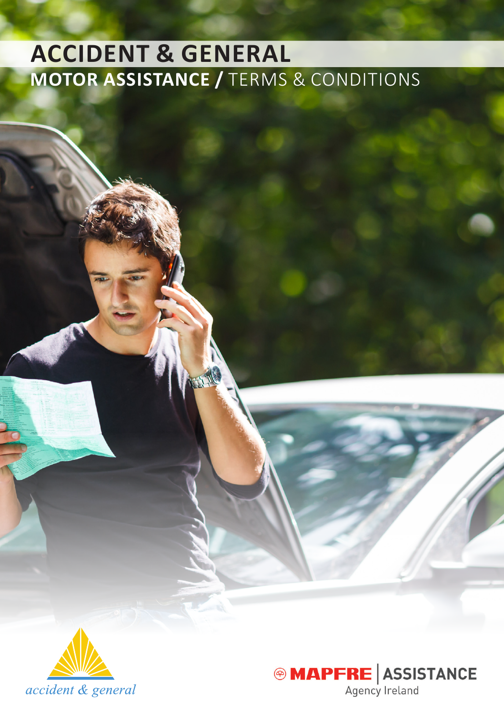# **ACCIDENT & GENERAL MOTOR ASSISTANCE /** Terms & Conditions



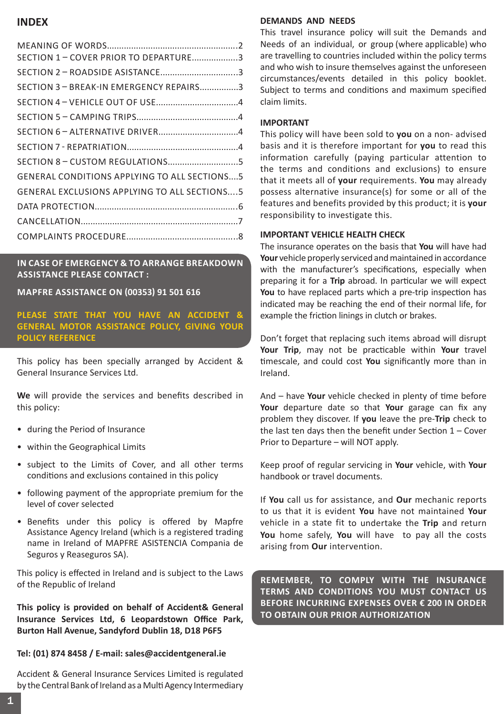# **INDEX**

| SECTION 1 - COVER PRIOR TO DEPARTURE3               |  |
|-----------------------------------------------------|--|
| SECTION 2 - ROADSIDE ASISTANCE3                     |  |
| SECTION 3 - BREAK-IN EMERGENCY REPAIRS3             |  |
|                                                     |  |
|                                                     |  |
|                                                     |  |
|                                                     |  |
|                                                     |  |
| <b>GENERAL CONDITIONS APPLYING TO ALL SECTIONS5</b> |  |
| <b>GENERAL EXCLUSIONS APPLYING TO ALL SECTIONS5</b> |  |
|                                                     |  |
|                                                     |  |
|                                                     |  |

**In CASE of Emergency & to Arrange Breakdown Assistance PLEASE CONTACT :**

**MAPFRE ASSISTANCE on (00353) 91 501 616**

### **PLEASE STATE THAT YOU HAVE AN ACCIDENT & GENERAL MOTOR ASSISTANCE POLICY, GIVING YOUR POLICY REFERENCE**

This policy has been specially arranged by Accident & General Insurance Services Ltd.

**We** will provide the services and benefits described in this policy:

- during the Period of Insurance
- within the Geographical Limits
- subject to the Limits of Cover, and all other terms conditions and exclusions contained in this policy
- following payment of the appropriate premium for the level of cover selected
- Benefits under this policy is offered by Mapfre Assistance Agency Ireland (which is a registered trading name in Ireland of MAPFRE ASISTENCIA Compania de Seguros y Reaseguros SA).

This policy is effected in Ireland and is subject to the Laws of the Republic of Ireland

**This policy is provided on behalf of Accident& General Insurance Services Ltd, 6 Leopardstown Office Park, Burton Hall Avenue, Sandyford Dublin 18, D18 P6F5**

### **Tel: (01) 874 8458 / E-mail: sales@accidentgeneral.ie**

Accident & General Insurance Services Limited is regulated by the Central Bank of Ireland as a Multi Agency Intermediary

### **DEMANDS AND NEEDS**

This travel insurance policy will suit the Demands and Needs of an individual, or group (where applicable) who are travelling to countries included within the policy terms and who wish to insure themselves against the unforeseen circumstances/events detailed in this policy booklet. Subject to terms and conditions and maximum specified claim limits.

### **IMPORTANT**

This policy will have been sold to **you** on a non- advised basis and it is therefore important for **you** to read this information carefully (paying particular attention to the terms and conditions and exclusions) to ensure that it meets all of **your** requirements. **You** may already possess alternative insurance(s) for some or all of the features and benefits provided by this product; it is **your** responsibility to investigate this.

#### **IMPORTANT VEHICLE HEALTH CHECK**

The insurance operates on the basis that **You** will have had **Your** vehicle properly serviced and maintained in accordance with the manufacturer's specifications, especially when preparing it for a **Trip** abroad. In particular we will expect **You** to have replaced parts which a pre-trip inspection has indicated may be reaching the end of their normal life, for example the friction linings in clutch or brakes.

Don't forget that replacing such items abroad will disrupt **Your Trip**, may not be practicable within **Your** travel timescale, and could cost **You** significantly more than in Ireland.

And – have **Your** vehicle checked in plenty of time before **Your** departure date so that **Your** garage can fix any problem they discover. If **you** leave the pre-**Trip** check to the last ten days then the benefit under Section 1 – Cover Prior to Departure – will NOT apply.

Keep proof of regular servicing in **Your** vehicle, with **Your** handbook or travel documents.

If **You** call us for assistance, and **Our** mechanic reports to us that it is evident **You** have not maintained **Your** vehicle in a state fit to undertake the **Trip** and return **You** home safely, **You** will have to pay all the costs arising from **Our** intervention.

**Remember, to comply with the insurance terms and conditions You must contact Us before incurring expenses over € 200 in order to obtain Our prior authorization**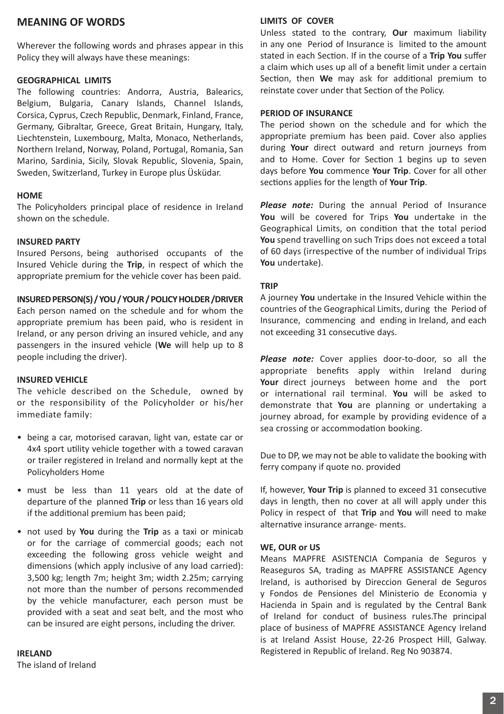# **MEANING OF WORDS**

Wherever the following words and phrases appear in this Policy they will always have these meanings:

#### **GEOGRAPHICAL LIMITS**

The following countries: Andorra, Austria, Balearics, Belgium, Bulgaria, Canary Islands, Channel Islands, Corsica, Cyprus, Czech Republic, Denmark, Finland, France, Germany, Gibraltar, Greece, Great Britain, Hungary, Italy, Liechtenstein, Luxembourg, Malta, Monaco, Netherlands, Northern Ireland, Norway, Poland, Portugal, Romania, San Marino, Sardinia, Sicily, Slovak Republic, Slovenia, Spain, Sweden, Switzerland, Turkey in Europe plus Üsküdar.

#### **HOME**

The Policyholders principal place of residence in Ireland shown on the schedule.

#### **INSURED PARTY**

Insured Persons, being authorised occupants of the Insured Vehicle during the **Trip**, in respect of which the appropriate premium for the vehicle cover has been paid.

#### **INSURED PERSON(S) / YOU / YOUR / POLICY HOLDER /DRIVER**

Each person named on the schedule and for whom the appropriate premium has been paid, who is resident in Ireland, or any person driving an insured vehicle, and any passengers in the insured vehicle (**We** will help up to 8 people including the driver).

### **INSURED VEHICLE**

The vehicle described on the Schedule, owned by or the responsibility of the Policyholder or his/her immediate family:

- being a car, motorised caravan, light van, estate car or 4x4 sport utility vehicle together with a towed caravan or trailer registered in Ireland and normally kept at the Policyholders Home
- must be less than 11 years old at the date of departure of the planned **Trip** or less than 16 years old if the additional premium has been paid;
- not used by **You** during the **Trip** as a taxi or minicab or for the carriage of commercial goods; each not exceeding the following gross vehicle weight and dimensions (which apply inclusive of any load carried): 3,500 kg; length 7m; height 3m; width 2.25m; carrying not more than the number of persons recommended by the vehicle manufacturer, each person must be provided with a seat and seat belt, and the most who can be insured are eight persons, including the driver.

**IRELAND**

The island of Ireland

### **LIMITS OF COVER**

Unless stated to the contrary, **Our** maximum liability in any one Period of Insurance is limited to the amount stated in each Section. If in the course of a **Trip You** suffer a claim which uses up all of a benefit limit under a certain Section, then **We** may ask for additional premium to reinstate cover under that Section of the Policy.

#### **PERIOD OF INSURANCE**

The period shown on the schedule and for which the appropriate premium has been paid. Cover also applies during **Your** direct outward and return journeys from and to Home. Cover for Section 1 begins up to seven days before **You** commence **Your Trip**. Cover for all other sections applies for the length of **Your Trip**.

*Please note:* During the annual Period of Insurance **You** will be covered for Trips **You** undertake in the Geographical Limits, on condition that the total period **You** spend travelling on such Trips does not exceed a total of 60 days (irrespective of the number of individual Trips **You** undertake).

### **TRIP**

A journey **You** undertake in the Insured Vehicle within the countries of the Geographical Limits, during the Period of Insurance, commencing and ending in Ireland, and each not exceeding 31 consecutive days.

*Please note:* Cover applies door-to-door, so all the appropriate benefits apply within Ireland during **Your** direct journeys between home and the port or international rail terminal. **You** will be asked to demonstrate that **You** are planning or undertaking a journey abroad, for example by providing evidence of a sea crossing or accommodation booking.

Due to DP, we may not be able to validate the booking with ferry company if quote no. provided

If, however, **Your Trip** is planned to exceed 31 consecutive days in length, then no cover at all will apply under this Policy in respect of that **Trip** and **You** will need to make alternative insurance arrange- ments.

### **WE, OUR or US**

Means MAPFRE ASISTENCIA Compania de Seguros y Reaseguros SA, trading as MAPFRE ASSISTANCE Agency Ireland, is authorised by Direccion General de Seguros y Fondos de Pensiones del Ministerio de Economia y Hacienda in Spain and is regulated by the Central Bank of Ireland for conduct of business rules.The principal place of business of MAPFRE ASSISTANCE Agency Ireland is at Ireland Assist House, 22-26 Prospect Hill, Galway. Registered in Republic of Ireland. Reg No 903874.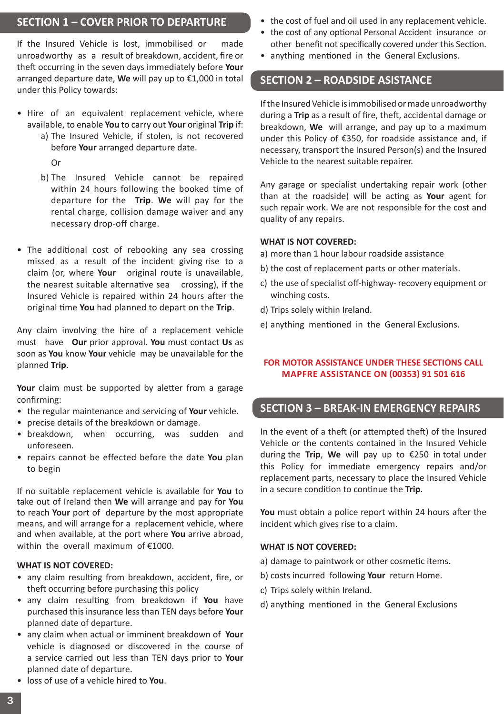# **SECTION 1 – COVER PRIOR TO DEPARTURE**

If the Insured Vehicle is lost, immobilised or made unroadworthy as a result of breakdown, accident, fire or theft occurring in the seven days immediately before **Your** arranged departure date, **We** will pay up to €1,000 in total under this Policy towards:

- Hire of an equivalent replacement vehicle, where available, to enable **You** to carry out **Your** original **Trip** if:
	- a) The Insured Vehicle, if stolen, is not recovered before **Your** arranged departure date. Or
	- b) The Insured Vehicle cannot be repaired within 24 hours following the booked time of departure for the **Trip**. **We** will pay for the rental charge, collision damage waiver and any necessary drop-off charge.
- The additional cost of rebooking any sea crossing missed as a result of the incident giving rise to a claim (or, where **Your** original route is unavailable, the nearest suitable alternative sea crossing), if the Insured Vehicle is repaired within 24 hours after the original time **You** had planned to depart on the **Trip**.

Any claim involving the hire of a replacement vehicle must have **Our** prior approval. **You** must contact **Us** as soon as **You** know **Your** vehicle may be unavailable for the planned **Trip**.

**Your** claim must be supported by aletter from a garage confirming:

- the regular maintenance and servicing of **Your** vehicle.
- precise details of the breakdown or damage.
- breakdown, when occurring, was sudden and unforeseen.
- repairs cannot be effected before the date **You** plan to begin

If no suitable replacement vehicle is available for **You** to take out of Ireland then **We** will arrange and pay for **You** to reach **Your** port of departure by the most appropriate means, and will arrange for a replacement vehicle, where and when available, at the port where **You** arrive abroad, within the overall maximum of €1000.

### **WHAT IS NOT COVERED:**

- any claim resulting from breakdown, accident, fire, or theft occurring before purchasing this policy
- any claim resulting from breakdown if **You** have purchased this insurance less than TEN days before **Your** planned date of departure.
- any claim when actual or imminent breakdown of **Your** vehicle is diagnosed or discovered in the course of a service carried out less than TEN days prior to **Your** planned date of departure.
- the cost of fuel and oil used in any replacement vehicle.
- the cost of any optional Personal Accident insurance or other benefit not specifically covered under this Section.
- anything mentioned in the General Exclusions.

# **SECTION 2 – ROADSIDE ASISTANCE**

If the Insured Vehicle is immobilised or made unroadworthy during a **Trip** as a result of fire, theft, accidental damage or breakdown, **We** will arrange, and pay up to a maximum under this Policy of €350, for roadside assistance and, if necessary, transport the Insured Person(s) and the Insured Vehicle to the nearest suitable repairer.

Any garage or specialist undertaking repair work (other than at the roadside) will be acting as **Your** agent for such repair work. We are not responsible for the cost and quality of any repairs.

#### **WHAT IS NOT COVERED:**

- a) more than 1 hour labour roadside assistance
- b) the cost of replacement parts or other materials.
- c) the use of specialist off-highway- recovery equipment or winching costs.
- d) Trips solely within Ireland.
- e) anything mentioned in the General Exclusions.

# **FOR MOTOR ASSISTANCE UNDER THESE SECTIONS CALL Mapfre Assistance on (00353) 91 501 616**

# **SECTION 3 – BREAK-IN EMERGENCY REPAIRS**

In the event of a theft (or attempted theft) of the Insured Vehicle or the contents contained in the Insured Vehicle during the **Trip**, **We** will pay up to €250 in total under this Policy for immediate emergency repairs and/or replacement parts, necessary to place the Insured Vehicle in a secure condition to continue the **Trip**.

**You** must obtain a police report within 24 hours after the incident which gives rise to a claim.

#### **WHAT IS NOT COVERED:**

- a) damage to paintwork or other cosmetic items.
- b) costs incurred following **Your** return Home.
- c) Trips solely within Ireland.
- d) anything mentioned in the General Exclusions

• loss of use of a vehicle hired to **You**.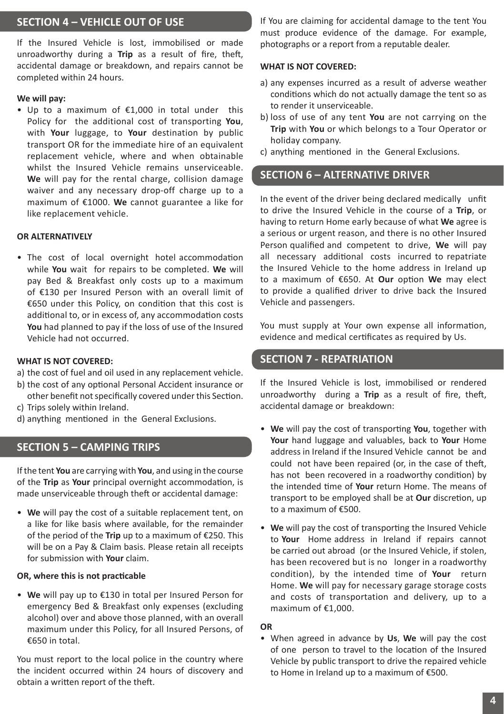# **SECTION 4 – VEHICLE OUT OF USE**

If the Insured Vehicle is lost, immobilised or made unroadworthy during a **Trip** as a result of fire, theft, accidental damage or breakdown, and repairs cannot be completed within 24 hours.

### **We will pay:**

• Up to a maximum of €1,000 in total under this Policy for the additional cost of transporting **You**, with **Your** luggage, to **Your** destination by public transport OR for the immediate hire of an equivalent replacement vehicle, where and when obtainable whilst the Insured Vehicle remains unserviceable. **We** will pay for the rental charge, collision damage waiver and any necessary drop-off charge up to a maximum of €1000. **We** cannot guarantee a like for like replacement vehicle.

### **OR ALTERNATIVELY**

• The cost of local overnight hotel accommodation while **You** wait for repairs to be completed. **We** will pay Bed & Breakfast only costs up to a maximum of €130 per Insured Person with an overall limit of €650 under this Policy, on condition that this cost is additional to, or in excess of, any accommodation costs **You** had planned to pay if the loss of use of the Insured Vehicle had not occurred.

### **WHAT IS NOT COVERED:**

- a) the cost of fuel and oil used in any replacement vehicle.
- b) the cost of any optional Personal Accident insurance or other benefit not specifically covered under this Section.
- c) Trips solely within Ireland.
- d) anything mentioned in the General Exclusions.

# **SECTION 5 – CAMPING TRIPS**

If the tent **You** are carrying with **You**, and using in the course of the **Trip** as **Your** principal overnight accommodation, is made unserviceable through theft or accidental damage:

• **We** will pay the cost of a suitable replacement tent, on a like for like basis where available, for the remainder of the period of the **Trip** up to a maximum of €250. This will be on a Pay & Claim basis. Please retain all receipts for submission with **Your** claim.

### **OR, where this is not practicable**

• **We** will pay up to €130 in total per Insured Person for emergency Bed & Breakfast only expenses (excluding alcohol) over and above those planned, with an overall maximum under this Policy, for all Insured Persons, of €650 in total.

You must report to the local police in the country where the incident occurred within 24 hours of discovery and obtain a written report of the theft.

If You are claiming for accidental damage to the tent You must produce evidence of the damage. For example, photographs or a report from a reputable dealer.

#### **WHAT IS NOT COVERED:**

- a) any expenses incurred as a result of adverse weather conditions which do not actually damage the tent so as to render it unserviceable.
- b) loss of use of any tent **You** are not carrying on the **Trip** with **You** or which belongs to a Tour Operator or holiday company.
- c) anything mentioned in the General Exclusions.

# **SECTION 6 – ALTERNATIVE DRIVER**

In the event of the driver being declared medically unfit to drive the Insured Vehicle in the course of a **Trip**, or having to return Home early because of what **We** agree is a serious or urgent reason, and there is no other Insured Person qualified and competent to drive, **We** will pay all necessary additional costs incurred to repatriate the Insured Vehicle to the home address in Ireland up to a maximum of €650. At **Our** option **We** may elect to provide a qualified driver to drive back the Insured Vehicle and passengers.

You must supply at Your own expense all information. evidence and medical certificates as required by Us.

### **SECTION 7 - REPATRIATION**

If the Insured Vehicle is lost, immobilised or rendered unroadworthy during a **Trip** as a result of fire, theft, accidental damage or breakdown:

- **We** will pay the cost of transporting **You**, together with **Your** hand luggage and valuables, back to **Your** Home address in Ireland if the Insured Vehicle cannot be and could not have been repaired (or, in the case of theft, has not been recovered in a roadworthy condition) by the intended time of **Your** return Home. The means of transport to be employed shall be at **Our** discretion, up to a maximum of €500.
- **We** will pay the cost of transporting the Insured Vehicle to **Your** Home address in Ireland if repairs cannot be carried out abroad (or the Insured Vehicle, if stolen, has been recovered but is no longer in a roadworthy condition), by the intended time of **Your** return Home. **We** will pay for necessary garage storage costs and costs of transportation and delivery, up to a maximum of €1,000.

### **OR**

• When agreed in advance by **Us**, **We** will pay the cost of one person to travel to the location of the Insured Vehicle by public transport to drive the repaired vehicle to Home in Ireland up to a maximum of €500.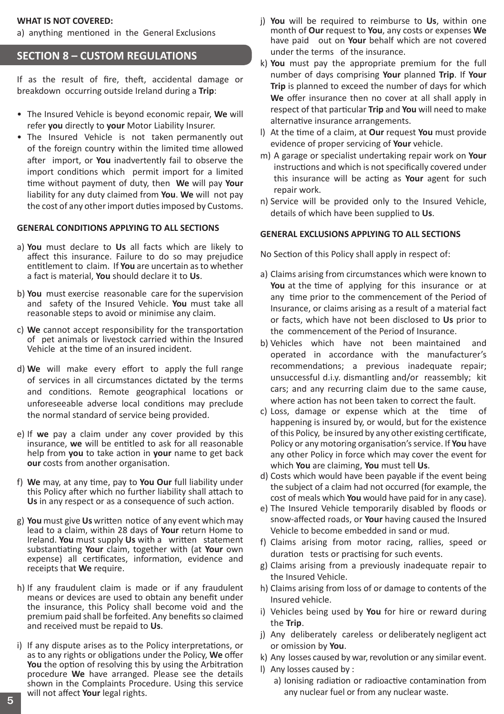### **WHAT IS NOT COVERED:**

a) anything mentioned in the General Exclusions

# **SECTION 8 – CUSTOM REGULATIONS**

If as the result of fire, theft, accidental damage or breakdown occurring outside Ireland during a **Trip**:

- The Insured Vehicle is beyond economic repair, **We** will refer **you** directly to **your** Motor Liability Insurer.
- The Insured Vehicle is not taken permanently out of the foreign country within the limited time allowed after import, or **You** inadvertently fail to observe the import conditions which permit import for a limited time without payment of duty, then **We** will pay **Your** liability for any duty claimed from **You**. **We** will not pay the cost of any other import duties imposed by Customs.

#### **GENERAL CONDITIONS APPLYING TO ALL SECTIONS**

- a) **You** must declare to **Us** all facts which are likely to affect this insurance. Failure to do so may prejudice entitlement to claim. If **You** are uncertain as to whether a fact is material, **You** should declare it to **Us**.
- b) **You** must exercise reasonable care for the supervision and safety of the Insured Vehicle. **You** must take all reasonable steps to avoid or minimise any claim.
- c) **We** cannot accept responsibility for the transportation of pet animals or livestock carried within the Insured Vehicle at the time of an insured incident.
- d) **We** will make every effort to apply the full range of services in all circumstances dictated by the terms and conditions. Remote geographical locations or unforeseeable adverse local conditions may preclude the normal standard of service being provided.
- e) If **we** pay a claim under any cover provided by this insurance, **we** will be entitled to ask for all reasonable help from **you** to take action in **your** name to get back **our** costs from another organisation.
- f) **We** may, at any time, pay to **You Our** full liability under this Policy after which no further liability shall attach to **Us** in any respect or as a consequence of such action.
- g) **You** must give **Us** written notice of any event which may lead to a claim, within 28 days of **Your** return Home to Ireland. **You** must supply **Us** with a written statement substantiating **Your** claim, together with (at **Your** own expense) all certificates, information, evidence and receipts that **We** require.
- h) If any fraudulent claim is made or if any fraudulent means or devices are used to obtain any benefit under the insurance, this Policy shall become void and the premium paid shall be forfeited. Any benefits so claimed and received must be repaid to **Us**.
- i) If any dispute arises as to the Policy interpretations, or as to any rights or obligations under the Policy, **We** offer **You** the option of resolving this by using the Arbitration procedure **We** have arranged. Please see the details shown in the Complaints Procedure. Using this service will not affect **Your** legal rights. any nuclear fuel or from any nuclear waste.<br> **5** will not affect Your legal rights.
- j) **You** will be required to reimburse to **Us**, within one month of **Our** request to **You**, any costs or expenses **We** have paid out on **Your** behalf which are not covered under the terms of the insurance.
- k) **You** must pay the appropriate premium for the full number of days comprising **Your** planned **Trip**. If **Your Trip** is planned to exceed the number of days for which **We** offer insurance then no cover at all shall apply in respect of that particular **Trip** and **You** will need to make alternative insurance arrangements.
- l) At the time of a claim, at **Our** request **You** must provide evidence of proper servicing of **Your** vehicle.
- m) A garage or specialist undertaking repair work on **Your** instructions and which is not specifically covered under this insurance will be acting as **Your** agent for such repair work.
- n) Service will be provided only to the Insured Vehicle, details of which have been supplied to **Us**.

#### **GENERAL EXCLUSIONS APPLYING TO ALL SECTIONS**

No Section of this Policy shall apply in respect of:

- a) Claims arising from circumstances which were known to **You** at the time of applying for this insurance or at any time prior to the commencement of the Period of Insurance, or claims arising as a result of a material fact or facts, which have not been disclosed to **Us** prior to the commencement of the Period of Insurance.
- b) Vehicles which have not been maintained and operated in accordance with the manufacturer's recommendations; a previous inadequate repair; unsuccessful d.i.y. dismantling and/or reassembly; kit cars; and any recurring claim due to the same cause, where action has not been taken to correct the fault.
- c) Loss, damage or expense which at the time of happening is insured by, or would, but for the existence of this Policy, be insured by any other existing certificate, Policy or any motoring organisation's service. If **You** have any other Policy in force which may cover the event for which **You** are claiming, **You** must tell **Us**.
- d) Costs which would have been payable if the event being the subject of a claim had not occurred (for example, the cost of meals which **You** would have paid for in any case).
- e) The Insured Vehicle temporarily disabled by floods or snow-affected roads, or **Your** having caused the Insured Vehicle to become embedded in sand or mud.
- f) Claims arising from motor racing, rallies, speed or duration tests or practising for such events.
- g) Claims arising from a previously inadequate repair to the Insured Vehicle.
- h) Claims arising from loss of or damage to contents of the Insured vehicle.
- i) Vehicles being used by **You** for hire or reward during the **Trip**.
- j) Any deliberately careless or deliberately negligent act or omission by **You**.
- k) Any losses caused by war, revolution or any similar event.
- l) Any losses caused by :
	- a) Ionising radiation or radioactive contamination from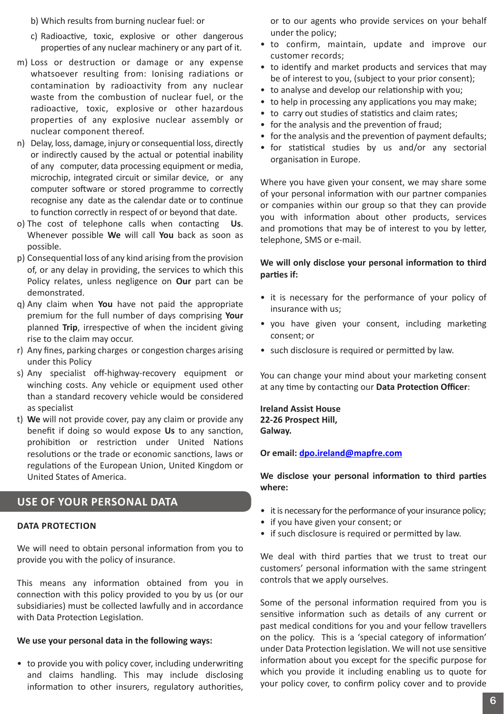- b) Which results from burning nuclear fuel: or
- c) Radioactive, toxic, explosive or other dangerous properties of any nuclear machinery or any part of it.
- m) Loss or destruction or damage or any expense whatsoever resulting from: Ionising radiations or contamination by radioactivity from any nuclear waste from the combustion of nuclear fuel, or the radioactive, toxic, explosive or other hazardous properties of any explosive nuclear assembly or nuclear component thereof.
- n) Delay, loss, damage, injury or consequential loss, directly or indirectly caused by the actual or potential inability of any computer, data processing equipment or media, microchip, integrated circuit or similar device, or any computer software or stored programme to correctly recognise any date as the calendar date or to continue to function correctly in respect of or beyond that date.
- o) The cost of telephone calls when contacting **Us**. Whenever possible **We** will call **You** back as soon as possible.
- p) Consequential loss of any kind arising from the provision of, or any delay in providing, the services to which this Policy relates, unless negligence on **Our** part can be demonstrated.
- q) Any claim when **You** have not paid the appropriate premium for the full number of days comprising **Your** planned **Trip**, irrespective of when the incident giving rise to the claim may occur.
- r) Any fines, parking charges or congestion charges arising under this Policy
- s) Any specialist off-highway-recovery equipment or winching costs. Any vehicle or equipment used other than a standard recovery vehicle would be considered as specialist
- t) **We** will not provide cover, pay any claim or provide any benefit if doing so would expose **Us** to any sanction, prohibition or restriction under United Nations resolutions or the trade or economic sanctions, laws or regulations of the European Union, United Kingdom or United States of America.

# **Use of Your Personal Data**

### **Data Protection**

We will need to obtain personal information from you to provide you with the policy of insurance.

This means any information obtained from you in connection with this policy provided to you by us (or our subsidiaries) must be collected lawfully and in accordance with Data Protection Legislation.

### **We use your personal data in the following ways:**

• to provide you with policy cover, including underwriting and claims handling. This may include disclosing information to other insurers, regulatory authorities, or to our agents who provide services on your behalf under the policy;

- to confirm, maintain, update and improve our customer records;
- to identify and market products and services that may be of interest to you, (subject to your prior consent);
- to analyse and develop our relationship with you;
- to help in processing any applications you may make:
- to carry out studies of statistics and claim rates;
- for the analysis and the prevention of fraud;
- for the analysis and the prevention of payment defaults;
- for statistical studies by us and/or any sectorial organisation in Europe.

Where you have given your consent, we may share some of your personal information with our partner companies or companies within our group so that they can provide you with information about other products, services and promotions that may be of interest to you by letter, telephone, SMS or e-mail.

### **We will only disclose your personal information to third parties if:**

- it is necessary for the performance of your policy of insurance with us;
- you have given your consent, including marketing consent; or
- such disclosure is required or permitted by law.

You can change your mind about your marketing consent at any time by contacting our **Data Protection Officer**:

**Ireland Assist House 22-26 Prospect Hill, Galway.** 

### **Or email: dpo.ireland@mapfre.com**

**We disclose your personal information to third parties where:**

- it is necessary for the performance of your insurance policy;
- if you have given your consent; or
- if such disclosure is required or permitted by law.

We deal with third parties that we trust to treat our customers' personal information with the same stringent controls that we apply ourselves.

Some of the personal information required from you is sensitive information such as details of any current or past medical conditions for you and your fellow travellers on the policy. This is a 'special category of information' under Data Protection legislation. We will not use sensitive information about you except for the specific purpose for which you provide it including enabling us to quote for your policy cover, to confirm policy cover and to provide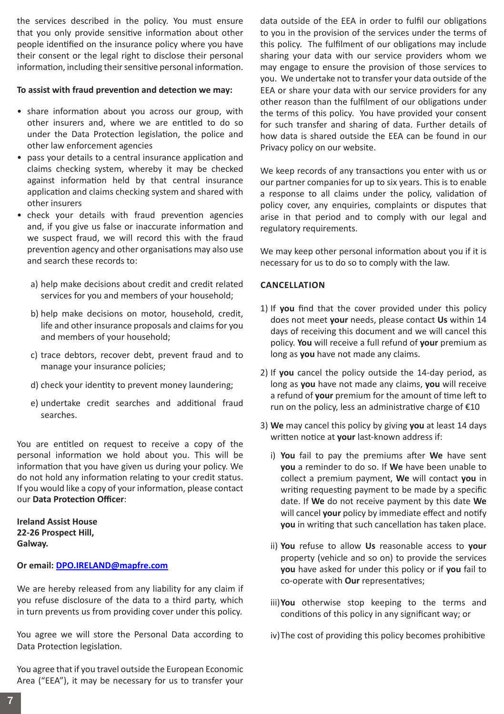the services described in the policy. You must ensure that you only provide sensitive information about other people identified on the insurance policy where you have their consent or the legal right to disclose their personal information, including their sensitive personal information.

# **To assist with fraud prevention and detection we may:**

- share information about you across our group, with other insurers and, where we are entitled to do so under the Data Protection legislation, the police and other law enforcement agencies
- pass your details to a central insurance application and claims checking system, whereby it may be checked against information held by that central insurance application and claims checking system and shared with other insurers
- check your details with fraud prevention agencies and, if you give us false or inaccurate information and we suspect fraud, we will record this with the fraud prevention agency and other organisations may also use and search these records to:
	- a) help make decisions about credit and credit related services for you and members of your household;
	- b) help make decisions on motor, household, credit, life and other insurance proposals and claims for you and members of your household;
	- c) trace debtors, recover debt, prevent fraud and to manage your insurance policies;
	- d) check your identity to prevent money laundering;
	- e) undertake credit searches and additional fraud searches.

You are entitled on request to receive a copy of the personal information we hold about you. This will be information that you have given us during your policy. We do not hold any information relating to your credit status. If you would like a copy of your information, please contact our **Data Protection Officer**:

**Ireland Assist House 22-26 Prospect Hill, Galway.** 

# **Or email: DPO.IRELAND@mapfre.com**

We are hereby released from any liability for any claim if you refuse disclosure of the data to a third party, which in turn prevents us from providing cover under this policy.

You agree we will store the Personal Data according to Data Protection legislation.

You agree that if you travel outside the European Economic Area ("EEA"), it may be necessary for us to transfer your

data outside of the EEA in order to fulfil our obligations to you in the provision of the services under the terms of this policy. The fulfilment of our obligations may include sharing your data with our service providers whom we may engage to ensure the provision of those services to you. We undertake not to transfer your data outside of the EEA or share your data with our service providers for any other reason than the fulfilment of our obligations under the terms of this policy. You have provided your consent for such transfer and sharing of data. Further details of how data is shared outside the EEA can be found in our Privacy policy on our website.

We keep records of any transactions you enter with us or our partner companies for up to six years. This is to enable a response to all claims under the policy, validation of policy cover, any enquiries, complaints or disputes that arise in that period and to comply with our legal and regulatory requirements.

We may keep other personal information about you if it is necessary for us to do so to comply with the law.

# **Cancellation**

- 1) If **you** find that the cover provided under this policy does not meet **your** needs, please contact **Us** within 14 days of receiving this document and we will cancel this policy. **You** will receive a full refund of **your** premium as long as **you** have not made any claims.
- 2) If **you** cancel the policy outside the 14-day period, as long as **you** have not made any claims, **you** will receive a refund of **your** premium for the amount of time left to run on the policy, less an administrative charge of €10
- 3) **We** may cancel this policy by giving **you** at least 14 days written notice at **your** last-known address if:
	- i) **You** fail to pay the premiums after **We** have sent **you** a reminder to do so. If **We** have been unable to collect a premium payment, **We** will contact **you** in writing requesting payment to be made by a specific date. If **We** do not receive payment by this date **We** will cancel **your** policy by immediate effect and notify **you** in writing that such cancellation has taken place.
	- ii) **You** refuse to allow **Us** reasonable access to **your** property (vehicle and so on) to provide the services **you** have asked for under this policy or if **you** fail to co-operate with **Our** representatives;
	- iii)**You** otherwise stop keeping to the terms and conditions of this policy in any significant way; or
	- iv)The cost of providing this policy becomes prohibitive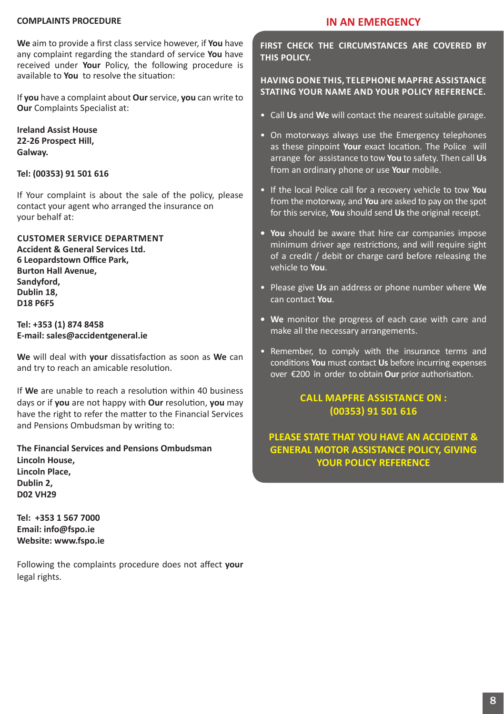### **COMPLAINTS PROCEDURE**

**We** aim to provide a first class service however, if **You** have any complaint regarding the standard of service **You** have received under **Your** Policy, the following procedure is available to **You** to resolve the situation:

If **you** have a complaint about **Our** service, **you** can write to **Our** Complaints Specialist at:

**Ireland Assist House 22-26 Prospect Hill, Galway.**

### **Tel: (00353) 91 501 616**

If Your complaint is about the sale of the policy, please contact your agent who arranged the insurance on your behalf at:

**Customer Service Department Accident & General Services Ltd. 6 Leopardstown Office Park, Burton Hall Avenue, Sandyford, Dublin 18, D18 P6F5**

**Tel: +353 (1) 874 8458 E-mail: sales@accidentgeneral.ie**

**We** will deal with **your** dissatisfaction as soon as **We** can and try to reach an amicable resolution.

If **We** are unable to reach a resolution within 40 business days or if **you** are not happy with **Our** resolution, **you** may have the right to refer the matter to the Financial Services and Pensions Ombudsman by writing to:

**The Financial Services and Pensions Ombudsman Lincoln House, Lincoln Place, Dublin 2, D02 VH29**

**Tel: +353 1 567 7000 Email: info@fspo.ie Website: www.fspo.ie**

Following the complaints procedure does not affect **your** legal rights.

# **IN AN EMERGENCY**

**FIRST CHECK THE CIRCUMSTANCES ARE COVERED BY THIS POLICY.**

# **HAVING DONE THIS, TELEPHONE Mapfre Assistance STATING YOUR NAME AND YOUR POLICY REFERENCE.**

- Call **Us** and **We** will contact the nearest suitable garage.
- On motorways always use the Emergency telephones as these pinpoint **Your** exact location. The Police will arrange for assistance to tow **You** to safety. Then call **Us** from an ordinary phone or use **Your** mobile.
- If the local Police call for a recovery vehicle to tow **You** from the motorway, and **You** are asked to pay on the spot for this service, **You** should send **Us** the original receipt.
- **• You** should be aware that hire car companies impose minimum driver age restrictions, and will require sight of a credit / debit or charge card before releasing the vehicle to **You**.
- Please give **Us** an address or phone number where **We** can contact **You**.
- **• We** monitor the progress of each case with care and make all the necessary arrangements.
- Remember, to comply with the insurance terms and conditions **You** must contact **Us** before incurring expenses over €200 in order to obtain **Our** prior authorisation.

# **CALL Mapfre Assistance ON : (00353) 91 501 616**

**PLEASE STATE THAT YOU HAVE AN ACCIDENT & GENERAL MOTOR ASSISTANCE POLICY, GIVING YOUR POLICY REFERENCE**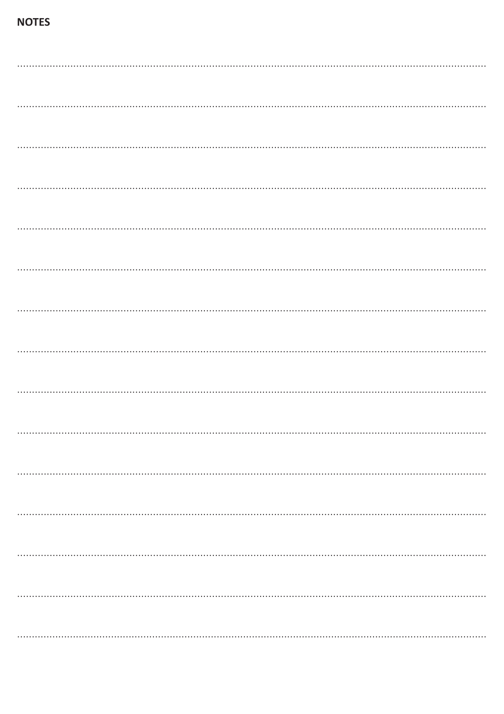# **NOTES**